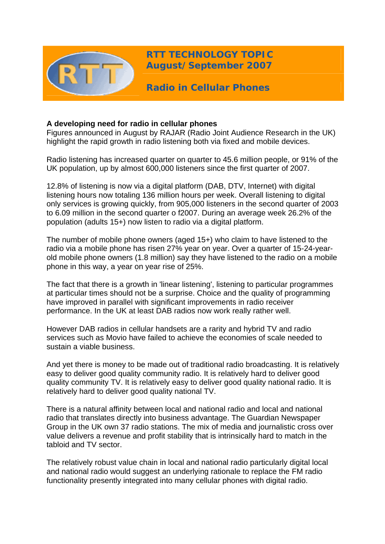

**RTT TECHNOLOGY TOPIC August/September 2007**

**Radio in Cellular Phones** 

# **A developing need for radio in cellular phones**

Figures announced in August by RAJAR (Radio Joint Audience Research in the UK) highlight the rapid growth in radio listening both via fixed and mobile devices.

Radio listening has increased quarter on quarter to 45.6 million people, or 91% of the UK population, up by almost 600,000 listeners since the first quarter of 2007.

12.8% of listening is now via a digital platform (DAB, DTV, Internet) with digital listening hours now totaling 136 million hours per week. Overall listening to digital only services is growing quickly, from 905,000 listeners in the second quarter of 2003 to 6.09 million in the second quarter o f2007. During an average week 26.2% of the population (adults 15+) now listen to radio via a digital platform.

The number of mobile phone owners (aged 15+) who claim to have listened to the radio via a mobile phone has risen 27% year on year. Over a quarter of 15-24-yearold mobile phone owners (1.8 million) say they have listened to the radio on a mobile phone in this way, a year on year rise of 25%.

The fact that there is a growth in 'linear listening', listening to particular programmes at particular times should not be a surprise. Choice and the quality of programming have improved in parallel with significant improvements in radio receiver performance. In the UK at least DAB radios now work really rather well.

However DAB radios in cellular handsets are a rarity and hybrid TV and radio services such as Movio have failed to achieve the economies of scale needed to sustain a viable business.

And yet there is money to be made out of traditional radio broadcasting. It is relatively easy to deliver good quality community radio. It is relatively hard to deliver good quality community TV. It is relatively easy to deliver good quality national radio. It is relatively hard to deliver good quality national TV.

There is a natural affinity between local and national radio and local and national radio that translates directly into business advantage. The Guardian Newspaper Group in the UK own 37 radio stations. The mix of media and journalistic cross over value delivers a revenue and profit stability that is intrinsically hard to match in the tabloid and TV sector.

The relatively robust value chain in local and national radio particularly digital local and national radio would suggest an underlying rationale to replace the FM radio functionality presently integrated into many cellular phones with digital radio.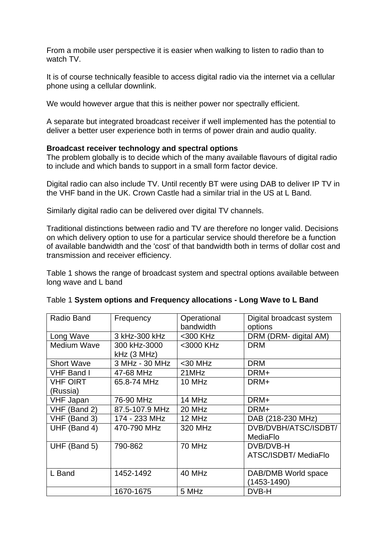From a mobile user perspective it is easier when walking to listen to radio than to watch TV.

It is of course technically feasible to access digital radio via the internet via a cellular phone using a cellular downlink.

We would however argue that this is neither power nor spectrally efficient.

A separate but integrated broadcast receiver if well implemented has the potential to deliver a better user experience both in terms of power drain and audio quality.

## **Broadcast receiver technology and spectral options**

The problem globally is to decide which of the many available flavours of digital radio to include and which bands to support in a small form factor device.

Digital radio can also include TV. Until recently BT were using DAB to deliver IP TV in the VHF band in the UK. Crown Castle had a similar trial in the US at L Band.

Similarly digital radio can be delivered over digital TV channels.

Traditional distinctions between radio and TV are therefore no longer valid. Decisions on which delivery option to use for a particular service should therefore be a function of available bandwidth and the 'cost' of that bandwidth both in terms of dollar cost and transmission and receiver efficiency.

Table 1 shows the range of broadcast system and spectral options available between long wave and L band

| Radio Band         | Frequency      | Operational | Digital broadcast system |
|--------------------|----------------|-------------|--------------------------|
|                    |                | bandwidth   | options                  |
| Long Wave          | 3 kHz-300 kHz  | <300 KHz    | DRM (DRM- digital AM)    |
| <b>Medium Wave</b> | 300 kHz-3000   | <3000 KHz   | <b>DRM</b>               |
|                    | kHz (3 MHz)    |             |                          |
| <b>Short Wave</b>  | 3 MHz - 30 MHz | $<$ 30 MHz  | <b>DRM</b>               |
| <b>VHF Band I</b>  | 47-68 MHz      | 21MHz       | DRM+                     |
| <b>VHF OIRT</b>    | 65.8-74 MHz    | 10 MHz      | DRM+                     |
| (Russia)           |                |             |                          |
| <b>VHF Japan</b>   | 76-90 MHz      | 14 MHz      | DRM+                     |
| VHF (Band 2)       | 87.5-107.9 MHz | 20 MHz      | DRM+                     |
| VHF (Band 3)       | 174 - 233 MHz  | 12 MHz      | DAB (218-230 MHz)        |
| UHF (Band 4)       | 470-790 MHz    | 320 MHz     | DVB/DVBH/ATSC/ISDBT/     |
|                    |                |             | MediaFlo                 |
| UHF (Band 5)       | 790-862        | 70 MHz      | DVB/DVB-H                |
|                    |                |             | ATSC/ISDBT/ MediaFlo     |
|                    |                |             |                          |
| L Band             | 1452-1492      | 40 MHz      | DAB/DMB World space      |
|                    |                |             | (1453-1490)              |
|                    | 1670-1675      | 5 MHz       | DVB-H                    |

### Table 1 **System options and Frequency allocations - Long Wave to L Band**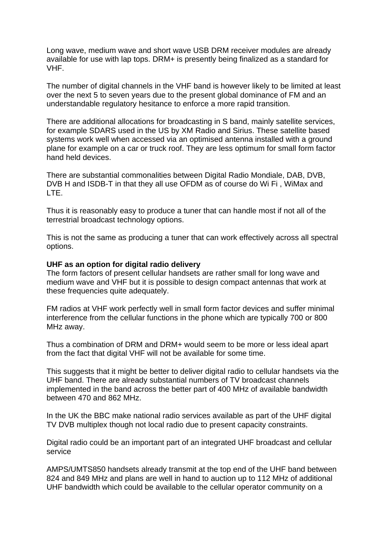Long wave, medium wave and short wave USB DRM receiver modules are already available for use with lap tops. DRM+ is presently being finalized as a standard for VHF.

The number of digital channels in the VHF band is however likely to be limited at least over the next 5 to seven years due to the present global dominance of FM and an understandable regulatory hesitance to enforce a more rapid transition.

There are additional allocations for broadcasting in S band, mainly satellite services, for example SDARS used in the US by XM Radio and Sirius. These satellite based systems work well when accessed via an optimised antenna installed with a ground plane for example on a car or truck roof. They are less optimum for small form factor hand held devices.

There are substantial commonalities between Digital Radio Mondiale, DAB, DVB, DVB H and ISDB-T in that they all use OFDM as of course do Wi Fi , WiMax and LTE.

Thus it is reasonably easy to produce a tuner that can handle most if not all of the terrestrial broadcast technology options.

This is not the same as producing a tuner that can work effectively across all spectral options.

### **UHF as an option for digital radio delivery**

The form factors of present cellular handsets are rather small for long wave and medium wave and VHF but it is possible to design compact antennas that work at these frequencies quite adequately.

FM radios at VHF work perfectly well in small form factor devices and suffer minimal interference from the cellular functions in the phone which are typically 700 or 800 MHz away.

Thus a combination of DRM and DRM+ would seem to be more or less ideal apart from the fact that digital VHF will not be available for some time.

This suggests that it might be better to deliver digital radio to cellular handsets via the UHF band. There are already substantial numbers of TV broadcast channels implemented in the band across the better part of 400 MHz of available bandwidth between 470 and 862 MHz.

In the UK the BBC make national radio services available as part of the UHF digital TV DVB multiplex though not local radio due to present capacity constraints.

Digital radio could be an important part of an integrated UHF broadcast and cellular service

AMPS/UMTS850 handsets already transmit at the top end of the UHF band between 824 and 849 MHz and plans are well in hand to auction up to 112 MHz of additional UHF bandwidth which could be available to the cellular operator community on a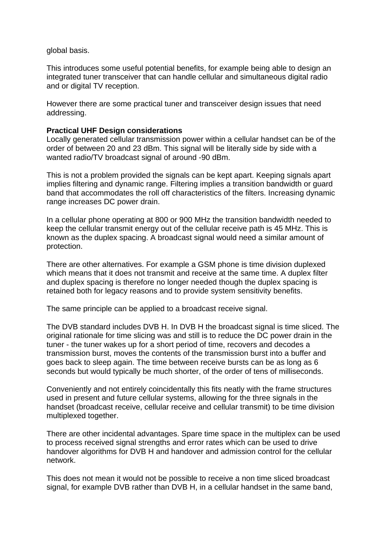global basis.

This introduces some useful potential benefits, for example being able to design an integrated tuner transceiver that can handle cellular and simultaneous digital radio and or digital TV reception.

However there are some practical tuner and transceiver design issues that need addressing.

## **Practical UHF Design considerations**

Locally generated cellular transmission power within a cellular handset can be of the order of between 20 and 23 dBm. This signal will be literally side by side with a wanted radio/TV broadcast signal of around -90 dBm.

This is not a problem provided the signals can be kept apart. Keeping signals apart implies filtering and dynamic range. Filtering implies a transition bandwidth or guard band that accommodates the roll off characteristics of the filters. Increasing dynamic range increases DC power drain.

In a cellular phone operating at 800 or 900 MHz the transition bandwidth needed to keep the cellular transmit energy out of the cellular receive path is 45 MHz. This is known as the duplex spacing. A broadcast signal would need a similar amount of protection.

There are other alternatives. For example a GSM phone is time division duplexed which means that it does not transmit and receive at the same time. A duplex filter and duplex spacing is therefore no longer needed though the duplex spacing is retained both for legacy reasons and to provide system sensitivity benefits.

The same principle can be applied to a broadcast receive signal.

The DVB standard includes DVB H. In DVB H the broadcast signal is time sliced. The original rationale for time slicing was and still is to reduce the DC power drain in the tuner - the tuner wakes up for a short period of time, recovers and decodes a transmission burst, moves the contents of the transmission burst into a buffer and goes back to sleep again. The time between receive bursts can be as long as 6 seconds but would typically be much shorter, of the order of tens of milliseconds.

Conveniently and not entirely coincidentally this fits neatly with the frame structures used in present and future cellular systems, allowing for the three signals in the handset (broadcast receive, cellular receive and cellular transmit) to be time division multiplexed together.

There are other incidental advantages. Spare time space in the multiplex can be used to process received signal strengths and error rates which can be used to drive handover algorithms for DVB H and handover and admission control for the cellular network.

This does not mean it would not be possible to receive a non time sliced broadcast signal, for example DVB rather than DVB H, in a cellular handset in the same band,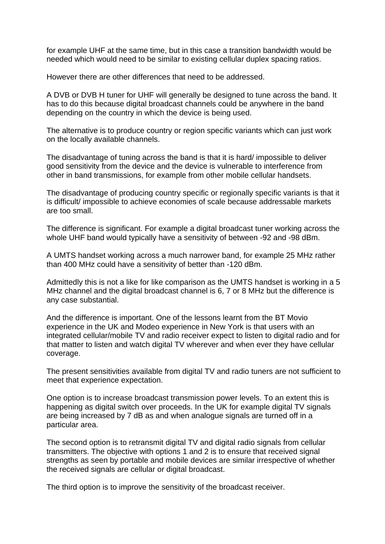for example UHF at the same time, but in this case a transition bandwidth would be needed which would need to be similar to existing cellular duplex spacing ratios.

However there are other differences that need to be addressed.

A DVB or DVB H tuner for UHF will generally be designed to tune across the band. It has to do this because digital broadcast channels could be anywhere in the band depending on the country in which the device is being used.

The alternative is to produce country or region specific variants which can just work on the locally available channels.

The disadvantage of tuning across the band is that it is hard/ impossible to deliver good sensitivity from the device and the device is vulnerable to interference from other in band transmissions, for example from other mobile cellular handsets.

The disadvantage of producing country specific or regionally specific variants is that it is difficult/ impossible to achieve economies of scale because addressable markets are too small.

The difference is significant. For example a digital broadcast tuner working across the whole UHF band would typically have a sensitivity of between -92 and -98 dBm.

A UMTS handset working across a much narrower band, for example 25 MHz rather than 400 MHz could have a sensitivity of better than -120 dBm.

Admittedly this is not a like for like comparison as the UMTS handset is working in a 5 MHz channel and the digital broadcast channel is 6, 7 or 8 MHz but the difference is any case substantial.

And the difference is important. One of the lessons learnt from the BT Movio experience in the UK and Modeo experience in New York is that users with an integrated cellular/mobile TV and radio receiver expect to listen to digital radio and for that matter to listen and watch digital TV wherever and when ever they have cellular coverage.

The present sensitivities available from digital TV and radio tuners are not sufficient to meet that experience expectation.

One option is to increase broadcast transmission power levels. To an extent this is happening as digital switch over proceeds. In the UK for example digital TV signals are being increased by 7 dB as and when analogue signals are turned off in a particular area.

The second option is to retransmit digital TV and digital radio signals from cellular transmitters. The objective with options 1 and 2 is to ensure that received signal strengths as seen by portable and mobile devices are similar irrespective of whether the received signals are cellular or digital broadcast.

The third option is to improve the sensitivity of the broadcast receiver.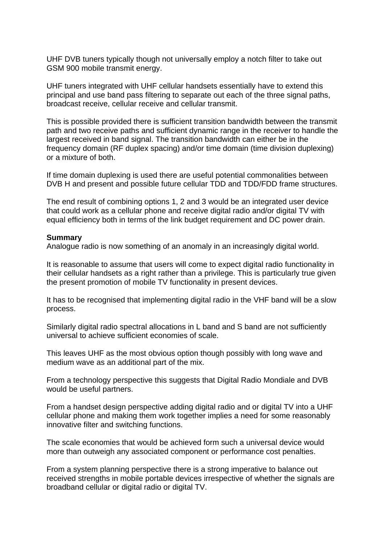UHF DVB tuners typically though not universally employ a notch filter to take out GSM 900 mobile transmit energy.

UHF tuners integrated with UHF cellular handsets essentially have to extend this principal and use band pass filtering to separate out each of the three signal paths, broadcast receive, cellular receive and cellular transmit.

This is possible provided there is sufficient transition bandwidth between the transmit path and two receive paths and sufficient dynamic range in the receiver to handle the largest received in band signal. The transition bandwidth can either be in the frequency domain (RF duplex spacing) and/or time domain (time division duplexing) or a mixture of both.

If time domain duplexing is used there are useful potential commonalities between DVB H and present and possible future cellular TDD and TDD/FDD frame structures.

The end result of combining options 1, 2 and 3 would be an integrated user device that could work as a cellular phone and receive digital radio and/or digital TV with equal efficiency both in terms of the link budget requirement and DC power drain.

### **Summary**

Analogue radio is now something of an anomaly in an increasingly digital world.

It is reasonable to assume that users will come to expect digital radio functionality in their cellular handsets as a right rather than a privilege. This is particularly true given the present promotion of mobile TV functionality in present devices.

It has to be recognised that implementing digital radio in the VHF band will be a slow process.

Similarly digital radio spectral allocations in L band and S band are not sufficiently universal to achieve sufficient economies of scale.

This leaves UHF as the most obvious option though possibly with long wave and medium wave as an additional part of the mix.

From a technology perspective this suggests that Digital Radio Mondiale and DVB would be useful partners.

From a handset design perspective adding digital radio and or digital TV into a UHF cellular phone and making them work together implies a need for some reasonably innovative filter and switching functions.

The scale economies that would be achieved form such a universal device would more than outweigh any associated component or performance cost penalties.

From a system planning perspective there is a strong imperative to balance out received strengths in mobile portable devices irrespective of whether the signals are broadband cellular or digital radio or digital TV.